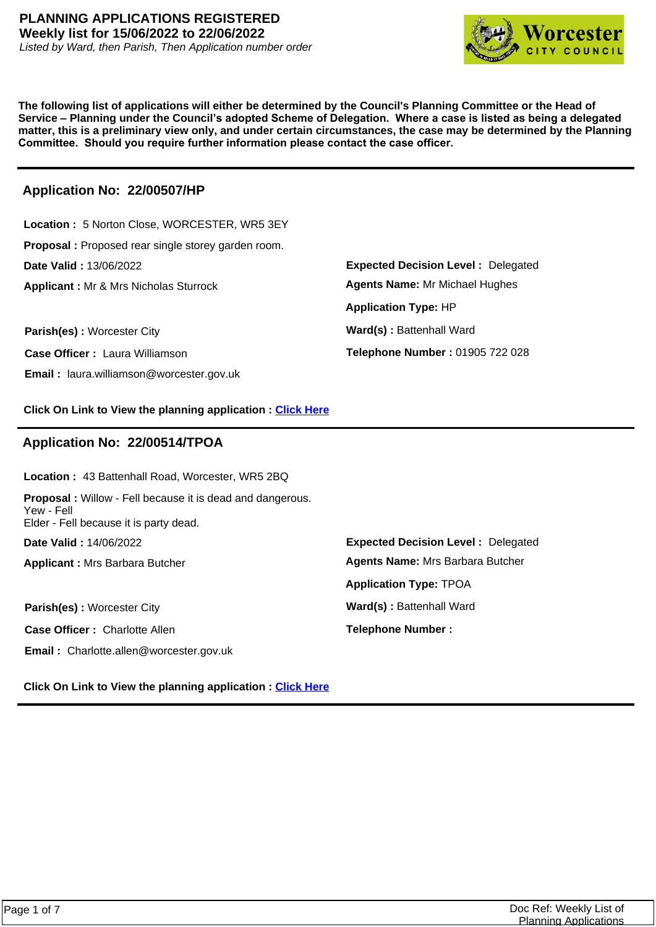

**The following list of applications will either be determined by the Council's Planning Committee or the Head of Service – Planning under the Council's adopted Scheme of Delegation. Where a case is listed as being a delegated matter, this is a preliminary view only, and under certain circumstances, the case may be determined by the Planning Committee. Should you require further information please contact the case officer.**

### **Application No: 22/00507/HP**

**Parish(es)** : Worcester City **Ward(s)** : Battenhall Ward **Applicant :** Mr & Mrs Nicholas Sturrock **Date Valid :** 13/06/2022 **Location :** 5 Norton Close, WORCESTER, WR5 3EY **Proposal :** Proposed rear single storey garden room. **Case Officer :** Laura Williamson

**Telephone Number :** 01905 722 028 **Application Type:** HP **Agents Name:** Mr Michael Hughes

**Expected Decision Level :** Delegated

**Click On Link to View the planning application : [Click Here](https://plan.worcester.gov.uk/Planning/Display/22/00507/HP)**

# **Application No: 22/00514/TPOA**

**Email :** laura.williamson@worcester.gov.uk

**Parish(es)** : Worcester City **Ward(s)** : Battenhall Ward **Applicant :** Mrs Barbara Butcher **Date Valid :** 14/06/2022 **Location :** 43 Battenhall Road, Worcester, WR5 2BQ **Proposal :** Willow - Fell because it is dead and dangerous. Yew - Fell Elder - Fell because it is party dead. **Case Officer :** Charlotte Allen

**Email :** Charlotte.allen@worcester.gov.uk

**Click On Link to View the planning application : [Click Here](https://plan.worcester.gov.uk/Planning/Display/22/00514/TPOA)**

**Expected Decision Level :** Delegated **Telephone Number : Application Type:** TPOA **Agents Name:** Mrs Barbara Butcher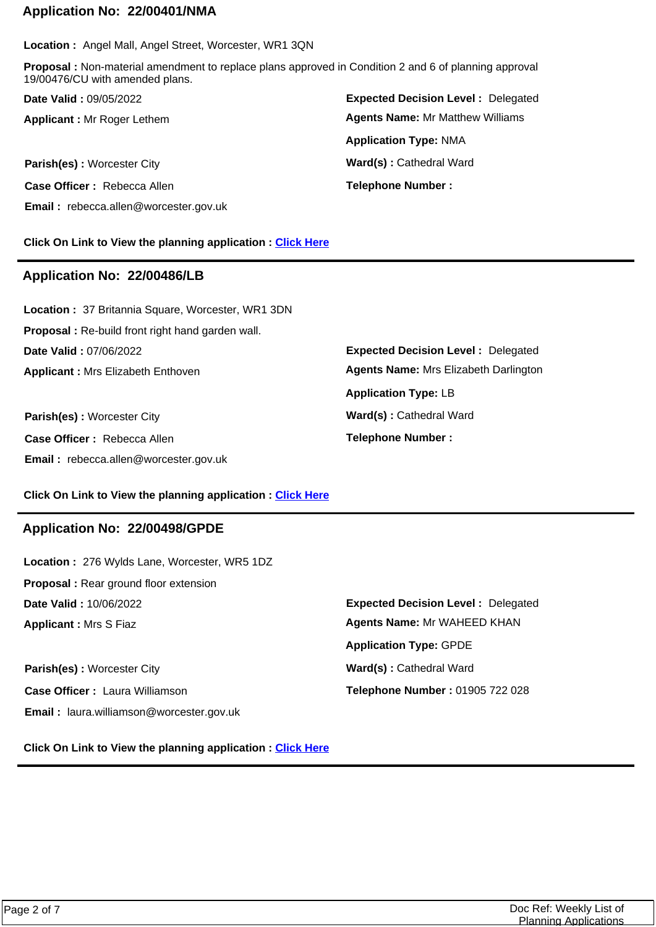### **Application No: 22/00401/NMA**

**Location :** Angel Mall, Angel Street, Worcester, WR1 3QN

**Proposal :** Non-material amendment to replace plans approved in Condition 2 and 6 of planning approval 19/00476/CU with amended plans.

**Applicant :** Mr Roger Lethem **Date Valid :** 09/05/2022

**Parish(es) :** Worcester City **Ward(s) : Cathedral Ward Case Officer :** Rebecca Allen **Email :** rebecca.allen@worcester.gov.uk

**Expected Decision Level :** Delegated **Telephone Number : Application Type:** NMA **Agents Name:** Mr Matthew Williams

**Click On Link to View the planning application : [Click Here](https://plan.worcester.gov.uk/Planning/Display/22/00401/NMA)**

### **Application No: 22/00486/LB**

**Applicant :** Mrs Elizabeth Enthoven **Date Valid :** 07/06/2022 **Location :** 37 Britannia Square, Worcester, WR1 3DN **Proposal :** Re-build front right hand garden wall.

**Parish(es)** : Worcester City **Ward(s)** : Cathedral Ward **Case Officer :** Rebecca Allen **Email :** rebecca.allen@worcester.gov.uk

**Expected Decision Level :** Delegated **Telephone Number : Application Type:** LB **Agents Name:** Mrs Elizabeth Darlington

**Click On Link to View the planning application : [Click Here](https://plan.worcester.gov.uk/Planning/Display/22/00486/LB)**

#### **Application No: 22/00498/GPDE**

**Applicant :** Mrs S Fiaz **Date Valid :** 10/06/2022 **Location :** 276 Wylds Lane, Worcester, WR5 1DZ **Proposal :** Rear ground floor extension

**Case Officer :** Laura Williamson **Email :** laura.williamson@worcester.gov.uk

**Expected Decision Level :** Delegated **Parish(es) :** Worcester City **Ward(s) : Cathedral Ward Telephone Number :** 01905 722 028 **Application Type:** GPDE **Agents Name:** Mr WAHEED KHAN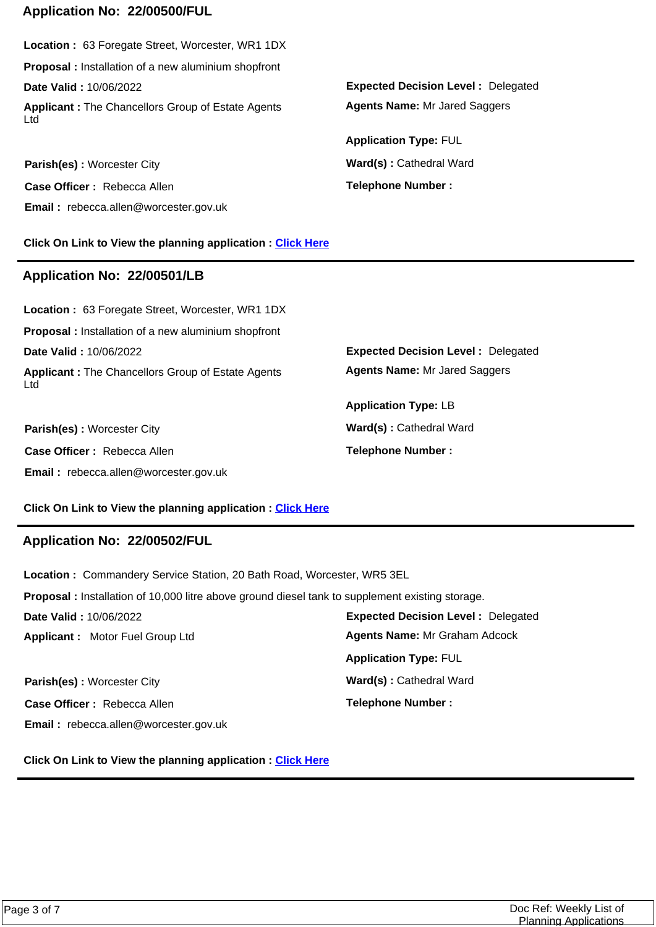### **Application No: 22/00500/FUL**

**Applicant :** The Chancellors Group of Estate Agents Ltd **Date Valid :** 10/06/2022 **Location :** 63 Foregate Street, Worcester, WR1 1DX **Proposal :** Installation of a new aluminium shopfront

**Case Officer :** Rebecca Allen **Email :** rebecca.allen@worcester.gov.uk

**Click On Link to View the planning application : [Click Here](https://plan.worcester.gov.uk/Planning/Display/22/00500/FUL)**

### **Application No: 22/00501/LB**

**Applicant :** The Chancellors Group of Estate Agents Ltd **Date Valid :** 10/06/2022 **Location :** 63 Foregate Street, Worcester, WR1 1DX **Proposal :** Installation of a new aluminium shopfront

**Parish(es) :** Worcester City **Ward(s) : Cathedral Ward Case Officer :** Rebecca Allen **Email :** rebecca.allen@worcester.gov.uk

**Expected Decision Level :** Delegated **Parish(es):** Worcester City **Ward(s):** Cathedral Ward **Application Type:** FUL **Agents Name:** Mr Jared Saggers

**Telephone Number :**

**Expected Decision Level :** Delegated **Agents Name:** Mr Jared Saggers

**Telephone Number : Application Type:** LB

#### **Click On Link to View the planning application : [Click Here](https://plan.worcester.gov.uk/Planning/Display/22/00501/LB)**

### **Application No: 22/00502/FUL**

**Expected Decision Level :** Delegated **Parish(es):** Worcester City **Ward(s):** Cathedral Ward **Applicant :** Motor Fuel Group Ltd **Date Valid :** 10/06/2022 **Location :** Commandery Service Station, 20 Bath Road, Worcester, WR5 3EL **Proposal :** Installation of 10,000 litre above ground diesel tank to supplement existing storage. **Case Officer :** Rebecca Allen **Email :** rebecca.allen@worcester.gov.uk **Telephone Number : Application Type:** FUL **Agents Name:** Mr Graham Adcock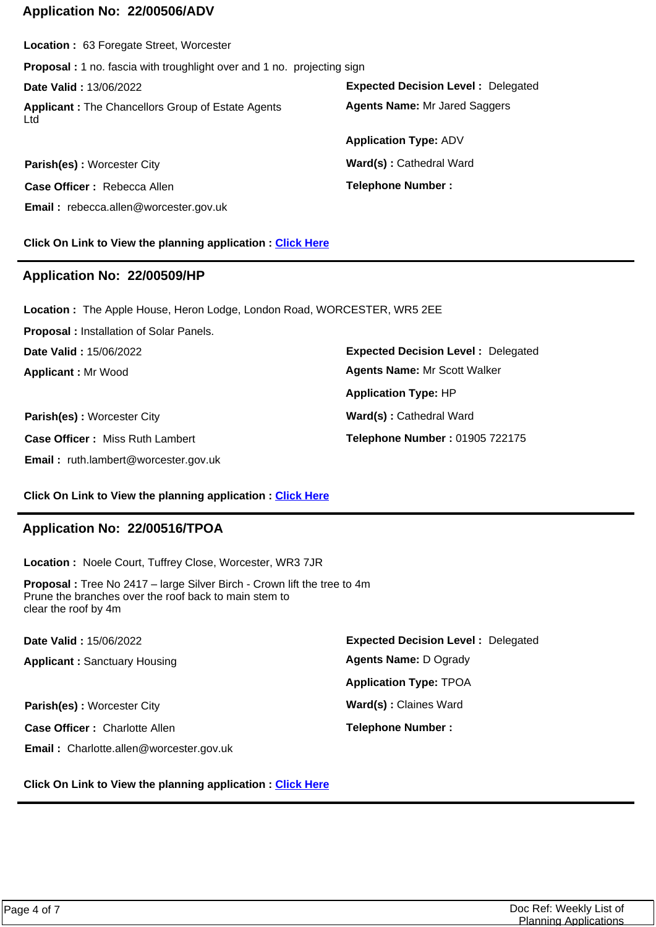### **Application No: 22/00506/ADV**

**Expected Decision Level :** Delegated **Parish(es):** Worcester City **Ward(s):** Cathedral Ward **Applicant :** The Chancellors Group of Estate Agents Ltd **Date Valid :** 13/06/2022 **Location :** 63 Foregate Street, Worcester **Proposal :** 1 no. fascia with troughlight over and 1 no. projecting sign **Case Officer :** Rebecca Allen **Email :** rebecca.allen@worcester.gov.uk **Telephone Number : Application Type:** ADV **Agents Name:** Mr Jared Saggers

**Click On Link to View the planning application : [Click Here](https://plan.worcester.gov.uk/Planning/Display/22/00506/ADV)**

# **Application No: 22/00509/HP**

**Location :** The Apple House, Heron Lodge, London Road, WORCESTER, WR5 2EE

**Applicant :** Mr Wood **Date Valid :** 15/06/2022 **Proposal :** Installation of Solar Panels.

**Parish(es):** Worcester City **Ward(s):** Cathedral Ward **Case Officer :** Miss Ruth Lambert **Email :** ruth.lambert@worcester.gov.uk

**Expected Decision Level :** Delegated **Telephone Number :** 01905 722175 **Application Type:** HP **Agents Name:** Mr Scott Walker

**Click On Link to View the planning application : [Click Here](https://plan.worcester.gov.uk/Planning/Display/22/00509/HP)**

### **Application No: 22/00516/TPOA**

**Location :** Noele Court, Tuffrey Close, Worcester, WR3 7JR

**Proposal :** Tree No 2417 – large Silver Birch - Crown lift the tree to 4m Prune the branches over the roof back to main stem to clear the roof by 4m

**Date Valid :** 15/06/2022

**Applicant :** Sanctuary Housing

**Parish(es) :** Worcester City **Ward(s) : Claines Ward** 

**Case Officer :** Charlotte Allen

**Email :** Charlotte.allen@worcester.gov.uk

**Expected Decision Level :** Delegated **Telephone Number : Application Type:** TPOA **Agents Name:** D Ogrady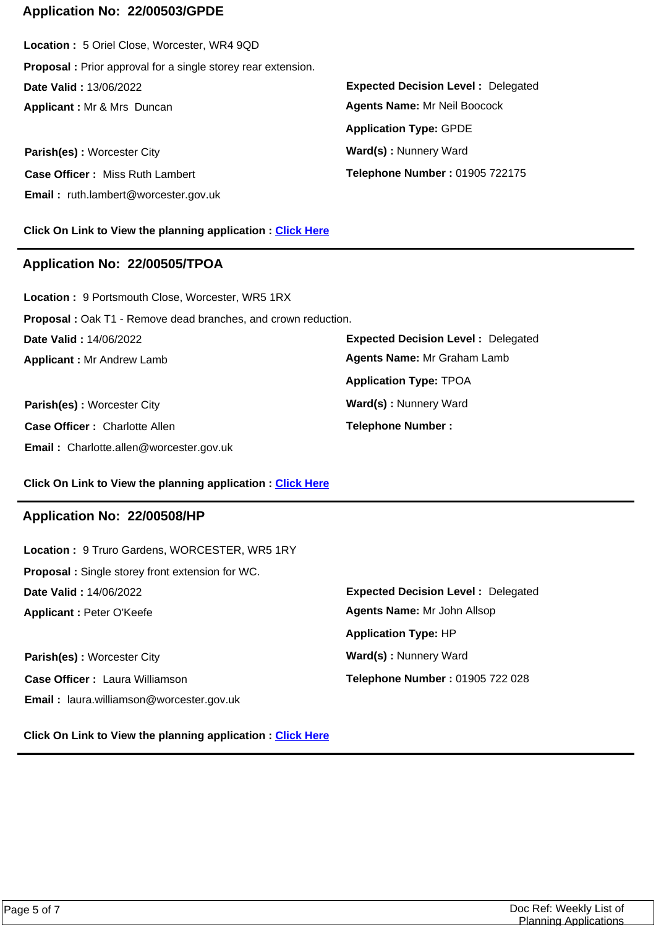# **Application No: 22/00503/GPDE**

**Applicant :** Mr & Mrs Duncan **Date Valid :** 13/06/2022 **Location :** 5 Oriel Close, Worcester, WR4 9QD **Proposal :** Prior approval for a single storey rear extension.

**Parish(es):** Worcester City **Ward(s):** Nunnery Ward **Case Officer :** Miss Ruth Lambert **Email :** ruth.lambert@worcester.gov.uk

**Click On Link to View the planning application : [Click Here](https://plan.worcester.gov.uk/Planning/Display/22/00503/GPDE)**

# **Application No: 22/00505/TPOA**

**Applicant :** Mr Andrew Lamb **Date Valid :** 14/06/2022 **Location :** 9 Portsmouth Close, Worcester, WR5 1RX **Proposal :** Oak T1 - Remove dead branches, and crown reduction.

**Parish(es) :** Worcester City **Ward(S) : Nunnery Ward Case Officer :** Charlotte Allen **Email :** Charlotte.allen@worcester.gov.uk

**Expected Decision Level :** Delegated **Telephone Number : Application Type:** TPOA **Agents Name:** Mr Graham Lamb

**Expected Decision Level :** Delegated

**Telephone Number :** 01905 722175

**Application Type:** GPDE

**Agents Name:** Mr Neil Boocock

**Click On Link to View the planning application : [Click Here](https://plan.worcester.gov.uk/Planning/Display/22/00505/TPOA)**

## **Application No: 22/00508/HP**

**Applicant :** Peter O'Keefe **Date Valid :** 14/06/2022 **Location :** 9 Truro Gardens, WORCESTER, WR5 1RY **Proposal :** Single storey front extension for WC.

**Parish(es):** Worcester City **Ward(s):** Nunnery Ward **Case Officer :** Laura Williamson **Email :** laura.williamson@worcester.gov.uk

**Expected Decision Level :** Delegated **Telephone Number :** 01905 722 028 **Application Type:** HP **Agents Name:** Mr John Allsop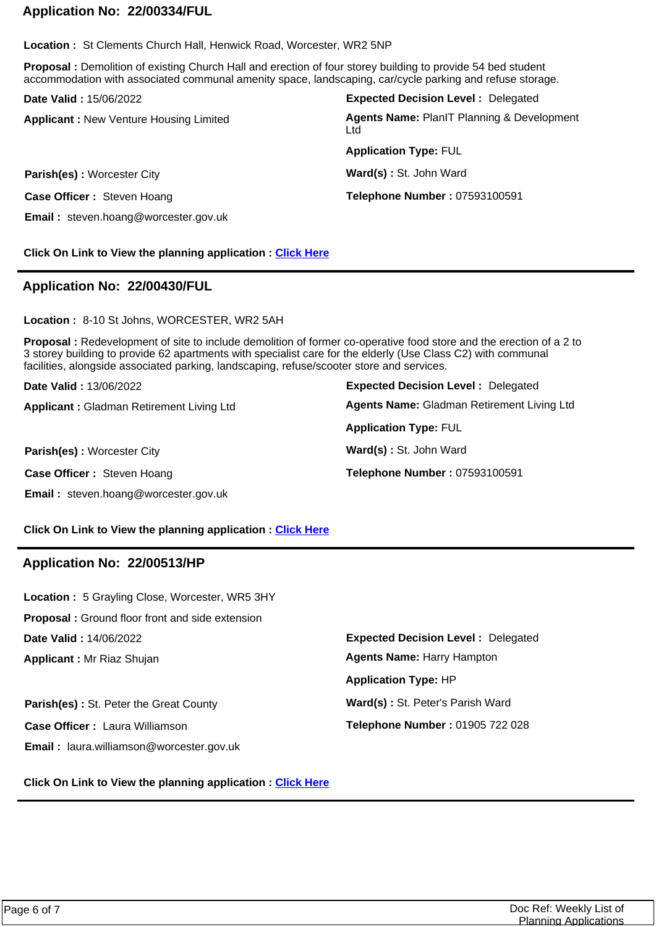### **Application No: 22/00334/FUL**

**Location :** St Clements Church Hall, Henwick Road, Worcester, WR2 5NP

**Proposal :** Demolition of existing Church Hall and erection of four storey building to provide 54 bed student accommodation with associated communal amenity space, landscaping, car/cycle parking and refuse storage.

| Date Valid: 15/06/2022                        | <b>Expected Decision Level: Delegated</b>         |
|-----------------------------------------------|---------------------------------------------------|
| <b>Applicant: New Venture Housing Limited</b> | Agents Name: PlanIT Planning & Development<br>Ltd |
|                                               | <b>Application Type: FUL</b>                      |
| Parish(es): Worcester City                    | Ward(s): St. John Ward                            |
| <b>Case Officer: Steven Hoang</b>             | Telephone Number: 07593100591                     |
| <b>Email:</b> steven.hoang@worcester.gov.uk   |                                                   |

**Click On Link to View the planning application : [Click Here](https://plan.worcester.gov.uk/Planning/Display/22/00334/FUL)**

### **Application No: 22/00430/FUL**

**Location :** 8-10 St Johns, WORCESTER, WR2 5AH

**Proposal :** Redevelopment of site to include demolition of former co-operative food store and the erection of a 2 to 3 storey building to provide 62 apartments with specialist care for the elderly (Use Class C2) with communal facilities, alongside associated parking, landscaping, refuse/scooter store and services.

| Date Valid: 13/06/2022                          | <b>Expected Decision Level: Delegated</b>         |
|-------------------------------------------------|---------------------------------------------------|
| <b>Applicant: Gladman Retirement Living Ltd</b> | <b>Agents Name: Gladman Retirement Living Ltd</b> |
|                                                 | <b>Application Type: FUL</b>                      |
| Parish(es): Worcester City                      | Ward(s): St. John Ward                            |
| Case Officer: Steven Hoang                      | Telephone Number: 07593100591                     |
| <b>Email:</b> steven.hoang@worcester.gov.uk     |                                                   |

**Click On Link to View the planning application : [Click Here](https://plan.worcester.gov.uk/Planning/Display/22/00430/FUL)**

## **Application No: 22/00513/HP**

| <b>Location: 5 Grayling Close, Worcester, WR5 3HY</b>  |                                           |
|--------------------------------------------------------|-------------------------------------------|
| <b>Proposal:</b> Ground floor front and side extension |                                           |
| <b>Date Valid: 14/06/2022</b>                          | <b>Expected Decision Level: Delegated</b> |
| <b>Applicant:</b> Mr Riaz Shujan                       | <b>Agents Name: Harry Hampton</b>         |
|                                                        | <b>Application Type: HP</b>               |
| <b>Parish(es): St. Peter the Great County</b>          | Ward(s): St. Peter's Parish Ward          |
| <b>Case Officer: Laura Williamson</b>                  | Telephone Number: 01905 722 028           |
| <b>Email:</b> laura.williamson@worcester.gov.uk        |                                           |